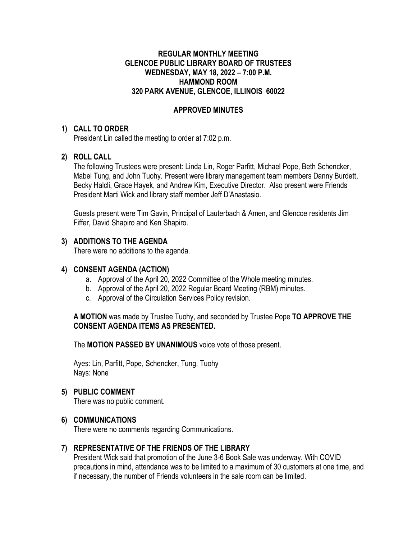### **REGULAR MONTHLY MEETING GLENCOE PUBLIC LIBRARY BOARD OF TRUSTEES WEDNESDAY, MAY 18, 2022 – 7:00 P.M. HAMMOND ROOM 320 PARK AVENUE, GLENCOE, ILLINOIS 60022**

# **APPROVED MINUTES**

#### **1) CALL TO ORDER**

President Lin called the meeting to order at 7:02 p.m.

# **2) ROLL CALL**

The following Trustees were present: Linda Lin, Roger Parfitt, Michael Pope, Beth Schencker, Mabel Tung, and John Tuohy. Present were library management team members Danny Burdett, Becky Halcli, Grace Hayek, and Andrew Kim, Executive Director. Also present were Friends President Marti Wick and library staff member Jeff D'Anastasio.

Guests present were Tim Gavin, Principal of Lauterbach & Amen, and Glencoe residents Jim Fiffer, David Shapiro and Ken Shapiro.

# **3) ADDITIONS TO THE AGENDA**

There were no additions to the agenda.

### **4) CONSENT AGENDA (ACTION)**

- a. Approval of the April 20, 2022 Committee of the Whole meeting minutes.
- b. Approval of the April 20, 2022 Regular Board Meeting (RBM) minutes.
- c. Approval of the Circulation Services Policy revision.

**A MOTION** was made by Trustee Tuohy, and seconded by Trustee Pope **TO APPROVE THE CONSENT AGENDA ITEMS AS PRESENTED.**

The **MOTION PASSED BY UNANIMOUS** voice vote of those present.

Ayes: Lin, Parfitt, Pope, Schencker, Tung, Tuohy Nays: None

# **5) PUBLIC COMMENT**

There was no public comment.

# **6) COMMUNICATIONS**

There were no comments regarding Communications.

# **7) REPRESENTATIVE OF THE FRIENDS OF THE LIBRARY**

President Wick said that promotion of the June 3-6 Book Sale was underway. With COVID precautions in mind, attendance was to be limited to a maximum of 30 customers at one time, and if necessary, the number of Friends volunteers in the sale room can be limited.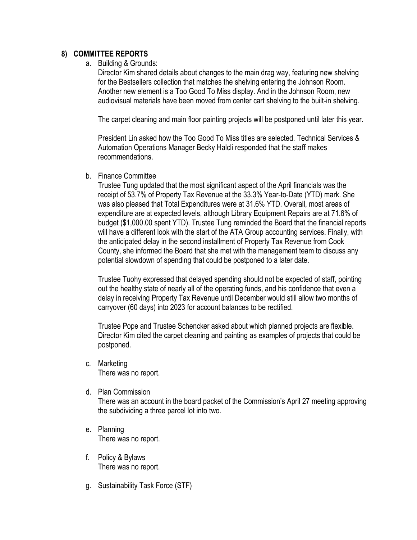### **8) COMMITTEE REPORTS**

a. Building & Grounds:

Director Kim shared details about changes to the main drag way, featuring new shelving for the Bestsellers collection that matches the shelving entering the Johnson Room. Another new element is a Too Good To Miss display. And in the Johnson Room, new audiovisual materials have been moved from center cart shelving to the built-in shelving.

The carpet cleaning and main floor painting projects will be postponed until later this year.

President Lin asked how the Too Good To Miss titles are selected. Technical Services & Automation Operations Manager Becky Halcli responded that the staff makes recommendations.

b. Finance Committee

Trustee Tung updated that the most significant aspect of the April financials was the receipt of 53.7% of Property Tax Revenue at the 33.3% Year-to-Date (YTD) mark. She was also pleased that Total Expenditures were at 31.6% YTD. Overall, most areas of expenditure are at expected levels, although Library Equipment Repairs are at 71.6% of budget (\$1,000.00 spent YTD). Trustee Tung reminded the Board that the financial reports will have a different look with the start of the ATA Group accounting services. Finally, with the anticipated delay in the second installment of Property Tax Revenue from Cook County, she informed the Board that she met with the management team to discuss any potential slowdown of spending that could be postponed to a later date.

Trustee Tuohy expressed that delayed spending should not be expected of staff, pointing out the healthy state of nearly all of the operating funds, and his confidence that even a delay in receiving Property Tax Revenue until December would still allow two months of carryover (60 days) into 2023 for account balances to be rectified.

Trustee Pope and Trustee Schencker asked about which planned projects are flexible. Director Kim cited the carpet cleaning and painting as examples of projects that could be postponed.

- c. Marketing There was no report.
- d. Plan Commission

There was an account in the board packet of the Commission's April 27 meeting approving the subdividing a three parcel lot into two.

- e. Planning There was no report.
- f. Policy & Bylaws There was no report.
- g. Sustainability Task Force (STF)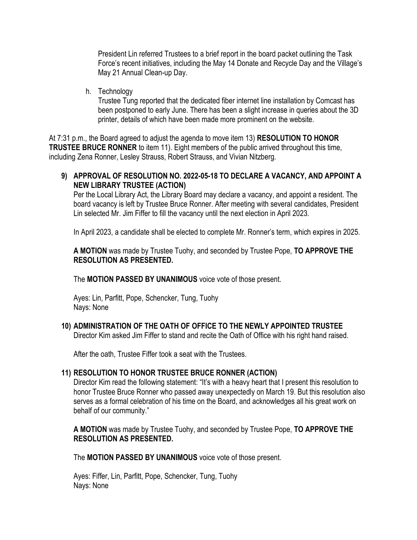President Lin referred Trustees to a brief report in the board packet outlining the Task Force's recent initiatives, including the May 14 Donate and Recycle Day and the Village's May 21 Annual Clean-up Day.

h. Technology

Trustee Tung reported that the dedicated fiber internet line installation by Comcast has been postponed to early June. There has been a slight increase in queries about the 3D printer, details of which have been made more prominent on the website.

At 7:31 p.m., the Board agreed to adjust the agenda to move item 13) **RESOLUTION TO HONOR TRUSTEE BRUCE RONNER** to item 11). Eight members of the public arrived throughout this time, including Zena Ronner, Lesley Strauss, Robert Strauss, and Vivian Nitzberg.

# **9) APPROVAL OF RESOLUTION NO. 2022-05-18 TO DECLARE A VACANCY, AND APPOINT A NEW LIBRARY TRUSTEE (ACTION)**

Per the Local Library Act, the Library Board may declare a vacancy, and appoint a resident. The board vacancy is left by Trustee Bruce Ronner. After meeting with several candidates, President Lin selected Mr. Jim Fiffer to fill the vacancy until the next election in April 2023.

In April 2023, a candidate shall be elected to complete Mr. Ronner's term, which expires in 2025.

**A MOTION** was made by Trustee Tuohy, and seconded by Trustee Pope, **TO APPROVE THE RESOLUTION AS PRESENTED.**

The **MOTION PASSED BY UNANIMOUS** voice vote of those present.

Ayes: Lin, Parfitt, Pope, Schencker, Tung, Tuohy Nays: None

# **10) ADMINISTRATION OF THE OATH OF OFFICE TO THE NEWLY APPOINTED TRUSTEE**

Director Kim asked Jim Fiffer to stand and recite the Oath of Office with his right hand raised.

After the oath, Trustee Fiffer took a seat with the Trustees.

# **11) RESOLUTION TO HONOR TRUSTEE BRUCE RONNER (ACTION)**

Director Kim read the following statement: "It's with a heavy heart that I present this resolution to honor Trustee Bruce Ronner who passed away unexpectedly on March 19. But this resolution also serves as a formal celebration of his time on the Board, and acknowledges all his great work on behalf of our community."

**A MOTION** was made by Trustee Tuohy, and seconded by Trustee Pope, **TO APPROVE THE RESOLUTION AS PRESENTED.**

The **MOTION PASSED BY UNANIMOUS** voice vote of those present.

Ayes: Fiffer, Lin, Parfitt, Pope, Schencker, Tung, Tuohy Nays: None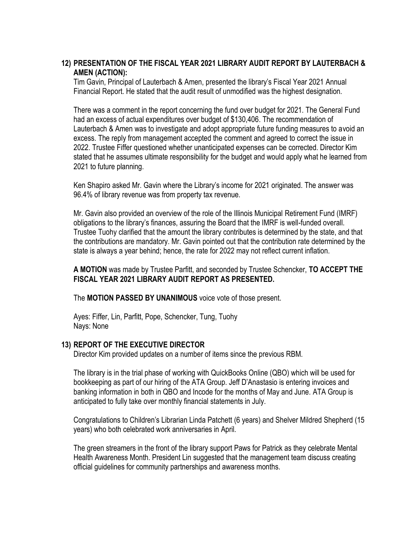# **12) PRESENTATION OF THE FISCAL YEAR 2021 LIBRARY AUDIT REPORT BY LAUTERBACH & AMEN (ACTION):**

Tim Gavin, Principal of Lauterbach & Amen, presented the library's Fiscal Year 2021 Annual Financial Report. He stated that the audit result of unmodified was the highest designation.

There was a comment in the report concerning the fund over budget for 2021. The General Fund had an excess of actual expenditures over budget of \$130,406. The recommendation of Lauterbach & Amen was to investigate and adopt appropriate future funding measures to avoid an excess. The reply from management accepted the comment and agreed to correct the issue in 2022. Trustee Fiffer questioned whether unanticipated expenses can be corrected. Director Kim stated that he assumes ultimate responsibility for the budget and would apply what he learned from 2021 to future planning.

Ken Shapiro asked Mr. Gavin where the Library's income for 2021 originated. The answer was 96.4% of library revenue was from property tax revenue.

Mr. Gavin also provided an overview of the role of the Illinois Municipal Retirement Fund (IMRF) obligations to the library's finances, assuring the Board that the IMRF is well-funded overall. Trustee Tuohy clarified that the amount the library contributes is determined by the state, and that the contributions are mandatory. Mr. Gavin pointed out that the contribution rate determined by the state is always a year behind; hence, the rate for 2022 may not reflect current inflation.

**A MOTION** was made by Trustee Parfitt, and seconded by Trustee Schencker, **TO ACCEPT THE FISCAL YEAR 2021 LIBRARY AUDIT REPORT AS PRESENTED.**

The **MOTION PASSED BY UNANIMOUS** voice vote of those present.

Ayes: Fiffer, Lin, Parfitt, Pope, Schencker, Tung, Tuohy Nays: None

#### **13) REPORT OF THE EXECUTIVE DIRECTOR**

Director Kim provided updates on a number of items since the previous RBM.

The library is in the trial phase of working with QuickBooks Online (QBO) which will be used for bookkeeping as part of our hiring of the ATA Group. Jeff D'Anastasio is entering invoices and banking information in both in QBO and Incode for the months of May and June. ATA Group is anticipated to fully take over monthly financial statements in July.

Congratulations to Children's Librarian Linda Patchett (6 years) and Shelver Mildred Shepherd (15 years) who both celebrated work anniversaries in April.

The green streamers in the front of the library support Paws for Patrick as they celebrate Mental Health Awareness Month. President Lin suggested that the management team discuss creating official guidelines for community partnerships and awareness months.